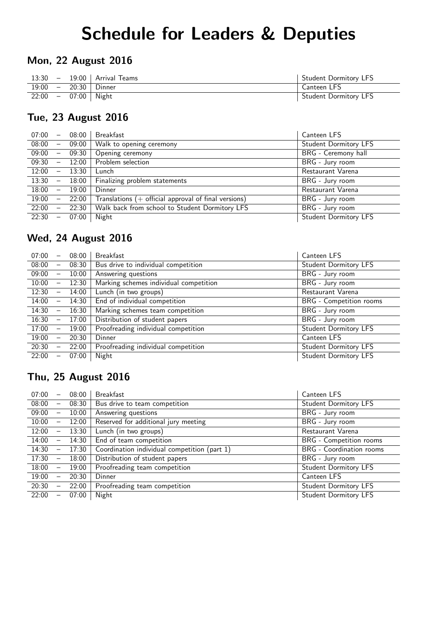# Schedule for Leaders & Deputies

#### Mon, 22 August 2016

|  | $13:30 - 19:00$ Arrival Teams | <b>Student Dormitory LFS</b> |
|--|-------------------------------|------------------------------|
|  | $19:00 - 20:30$ Dinner        | Canteen LFS                  |
|  | $22:00 - 07:00$ Night         | <b>Student Dormitory LFS</b> |

#### Tue, 23 August 2016

| 07:00 |                                   | $-$ 08:00 | Breakfast                                               | Canteen LFS                  |
|-------|-----------------------------------|-----------|---------------------------------------------------------|------------------------------|
| 08:00 | $\overline{\phantom{m}}$          | 09:00     | Walk to opening ceremony                                | <b>Student Dormitory LFS</b> |
| 09:00 | $-$                               | 09:30     | Opening ceremony                                        | BRG - Ceremony hall          |
| 09:30 | $\sim$                            | 12:00     | Problem selection                                       | BRG - Jury room              |
| 12:00 | $\alpha \rightarrow \alpha \beta$ | 13:30     | Lunch                                                   | Restaurant Varena            |
| 13:30 | $\overline{\phantom{m}}$          | $18:00$   | Finalizing problem statements                           | BRG - Jury room              |
| 18:00 | $\overline{\phantom{m}}$          | 19:00     | Dinner                                                  | Restaurant Varena            |
| 19:00 | $-$                               | 22:00     | Translations $(+)$ official approval of final versions) | BRG - Jury room              |
| 22:00 | $\frac{1}{2}$                     | 22:30     | Walk back from school to Student Dormitory LFS          | BRG - Jury room              |
| 22:30 | $\overline{\phantom{m}}$          | 07:00     | Night                                                   | <b>Student Dormitory LFS</b> |

## Wed, 24 August 2016

| 07:00 | $\qquad \qquad -$        | 08:00 | <b>Breakfast</b>                       | Canteen LFS                  |
|-------|--------------------------|-------|----------------------------------------|------------------------------|
| 08:00 | $\overline{\phantom{m}}$ | 08:30 | Bus drive to individual competition    | <b>Student Dormitory LFS</b> |
| 09:00 | $\overline{\phantom{m}}$ | 10:00 | Answering questions                    | BRG - Jury room              |
| 10:00 | $\qquad \qquad -$        | 12:30 | Marking schemes individual competition | BRG - Jury room              |
| 12:30 | $\qquad \qquad -$        | 14:00 | Lunch (in two groups)                  | Restaurant Varena            |
| 14:00 | $\overline{\phantom{m}}$ | 14:30 | End of individual competition          | BRG - Competition rooms      |
| 14:30 | $\overline{\phantom{m}}$ | 16:30 | Marking schemes team competition       | BRG - Jury room              |
| 16:30 | $\overline{\phantom{m}}$ | 17:00 | Distribution of student papers         | BRG - Jury room              |
| 17:00 | $\overline{\phantom{m}}$ | 19:00 | Proofreading individual competition    | <b>Student Dormitory LFS</b> |
| 19:00 | $\qquad \qquad -$        | 20:30 | Dinner                                 | Canteen LFS                  |
| 20:30 | $\overline{\phantom{m}}$ | 22:00 | Proofreading individual competition    | <b>Student Dormitory LFS</b> |
| 22:00 | —                        | 07:00 | Night                                  | <b>Student Dormitory LFS</b> |

### Thu, 25 August 2016

| 07:00 | $\overline{\phantom{0}}$ | 08:00 | <b>Breakfast</b>                             | Canteen LFS                  |
|-------|--------------------------|-------|----------------------------------------------|------------------------------|
| 08:00 | $\qquad \qquad -$        | 08:30 | Bus drive to team competition                | <b>Student Dormitory LFS</b> |
| 09:00 | -                        | 10:00 | Answering questions                          | BRG - Jury room              |
| 10:00 | $\overline{\phantom{0}}$ | 12:00 | Reserved for additional jury meeting         | BRG - Jury room              |
| 12:00 | $\overline{\phantom{0}}$ | 13:30 | Lunch (in two groups)                        | Restaurant Varena            |
| 14:00 | $\overline{\phantom{0}}$ | 14:30 | End of team competition                      | BRG - Competition rooms      |
| 14:30 | —                        | 17:30 | Coordination individual competition (part 1) | BRG - Coordination rooms     |
| 17:30 | $\qquad \qquad -$        | 18:00 | Distribution of student papers               | BRG - Jury room              |
| 18:00 | $\qquad \qquad -$        | 19:00 | Proofreading team competition                | <b>Student Dormitory LFS</b> |
| 19:00 | $\overline{\phantom{0}}$ | 20:30 | Dinner                                       | Canteen LFS                  |
| 20:30 | $\qquad \qquad -$        | 22:00 | Proofreading team competition                | <b>Student Dormitory LFS</b> |
| 22:00 | —                        | 07:00 | Night                                        | <b>Student Dormitory LFS</b> |